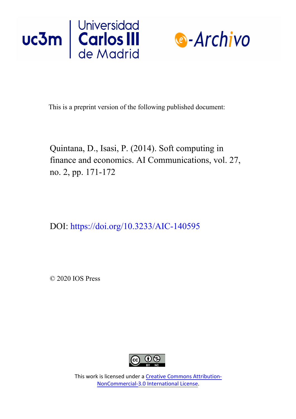



This is a preprint version of the following published document:

Quintana, D., Isasi, P. (2014). Soft computing in finance and economics. AI Communications, vol. 27, no. 2, pp. 171-172

DOI: https://doi.org/10.3233/AIC-140595

© 2020 IOS Press



This work is licensed under a Creative Commons Attribution-NonCommercial-3.0 International License.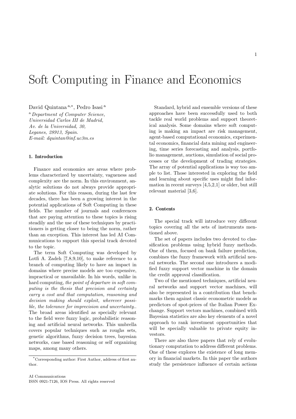# Soft Computing in Finance and Economics

David Quintana <sup>a,∗</sup>, Pedro Isasi <sup>a</sup>

<sup>a</sup> Department of Computer Science, Universidad Carlos III de Madrid, Av. de la Universidad, 30, Leganes, 28913, Spain. E-mail: dquintan@inf.uc3m.es

# 1. Introduction

Finance and economics are areas where problems characterized by uncertainty, vagueness and complexity are the norm. In this environment, analytic solutions do not always provide appropriate solutions. For this reason, during the last few decades, there has been a growing interest in the potential applications of Soft Computing in these fields. The number of journals and conferences that are paying attention to these topics is rising steadily and the use of these techniques by practitioners is getting closer to being the norm, rather than an exception. This interest has led AI Communications to support this special track devoted to the topic.

The term Soft Computing was developed by Lotfi A. Zadeh  $[7,8,9,10]$ , to make reference to a branch of computing likely to have an impact in domains where precise models are too expensive, impractical or unavailable. In his words, unlike in hard computing, the point of departure in soft computing is the thesis that precision and certainty carry a cost and that computation, reasoning and decision making should exploit, wherever possible, the tolerance for imprecision and uncertainty.. The broad areas identified as specially relevant to the field were fuzzy logic, probabilistic reasoning and artificial neural networks. This umbrella covers popular techniques such as roughs sets, genetic algorithms, fuzzy decision trees, bayesian networks, case based reasoning or self organizing maps, among many others.

Standard, hybrid and ensemble versions of these approaches have been successfully used to both tackle real world problems and support theoretical analysis. Some domains where soft computing is making an impact are risk management, agent-based computational economics, experimental economics, financial data mining and engineering, time series forecasting and analysis, portfolio management, auctions, simulation of social processes or the development of trading strategies. The array of potential applications is way too ample to list. Those interested in exploring the field and learning about specific uses might find information in recent surveys [4,5,2,1] or older, but still relevant material [3,6].

## 2. Contents

The special track will introduce very different topics covering all the sets of instruments mentioned above.

The set of papers includes two devoted to classification problems using hybrid fuzzy methods. One of them, focused on bank failure prediction, combines the fuzzy framework with artificial neural networks. The second one introduces a modified fuzzy support vector machine in the domain the credit approval classification.

Two of the mentioned techniques, artificial neural networks and support vector machines, will also be represented in a contribution that benchmarks them against classic econometric models as predictors of spot-prices of the Italian Power Exchange. Support vectors machines, combined with Bayesian statistics are also key elements of a novel approach to rank investment opportunities that will be specially valuable to private equity investors.

There are also three papers that rely of evolutionary computation to address different problems. One of these explores the existence of long memory in financial markets. In this paper the authors study the persistence influence of certain actions

<sup>\*</sup>Corresponding author: First Author, address of first author.